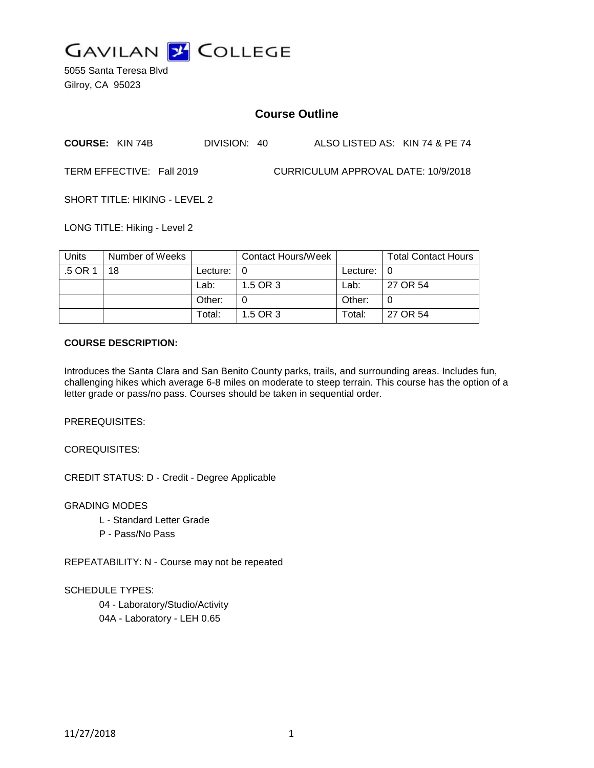

5055 Santa Teresa Blvd Gilroy, CA 95023

# **Course Outline**

| <b>COURSE: KIN 74B</b>    | DIVISION: 40 | ALSO LISTED AS: KIN 74 & PE 74      |  |
|---------------------------|--------------|-------------------------------------|--|
| TERM EFFECTIVE: Fall 2019 |              | CURRICULUM APPROVAL DATE: 10/9/2018 |  |

SHORT TITLE: HIKING - LEVEL 2

LONG TITLE: Hiking - Level 2

| Units   | Number of Weeks |            | Contact Hours/Week |                    | <b>Total Contact Hours</b> |
|---------|-----------------|------------|--------------------|--------------------|----------------------------|
| .5 OR 1 | 18              | Lecture: I |                    | Lecture: $\vert 0$ |                            |
|         |                 | Lab:       | 1.5 OR 3           | Lab:               | 27 OR 54                   |
|         |                 | Other:     |                    | Other:             |                            |
|         |                 | Total:     | 1.5 OR 3           | Total:             | 27 OR 54                   |

## **COURSE DESCRIPTION:**

Introduces the Santa Clara and San Benito County parks, trails, and surrounding areas. Includes fun, challenging hikes which average 6-8 miles on moderate to steep terrain. This course has the option of a letter grade or pass/no pass. Courses should be taken in sequential order.

PREREQUISITES:

COREQUISITES:

CREDIT STATUS: D - Credit - Degree Applicable

GRADING MODES

- L Standard Letter Grade
- P Pass/No Pass

REPEATABILITY: N - Course may not be repeated

SCHEDULE TYPES:

04 - Laboratory/Studio/Activity 04A - Laboratory - LEH 0.65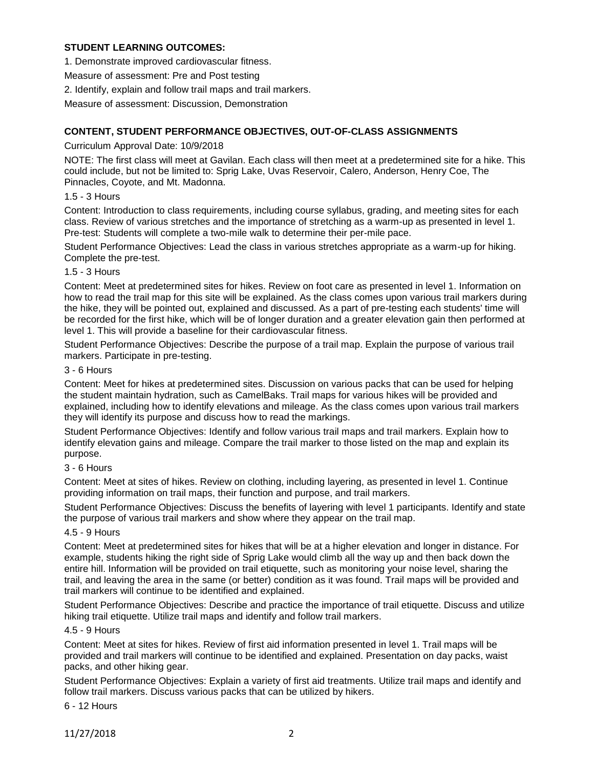## **STUDENT LEARNING OUTCOMES:**

1. Demonstrate improved cardiovascular fitness.

Measure of assessment: Pre and Post testing

2. Identify, explain and follow trail maps and trail markers.

Measure of assessment: Discussion, Demonstration

## **CONTENT, STUDENT PERFORMANCE OBJECTIVES, OUT-OF-CLASS ASSIGNMENTS**

## Curriculum Approval Date: 10/9/2018

NOTE: The first class will meet at Gavilan. Each class will then meet at a predetermined site for a hike. This could include, but not be limited to: Sprig Lake, Uvas Reservoir, Calero, Anderson, Henry Coe, The Pinnacles, Coyote, and Mt. Madonna.

## 1.5 - 3 Hours

Content: Introduction to class requirements, including course syllabus, grading, and meeting sites for each class. Review of various stretches and the importance of stretching as a warm-up as presented in level 1. Pre-test: Students will complete a two-mile walk to determine their per-mile pace.

Student Performance Objectives: Lead the class in various stretches appropriate as a warm-up for hiking. Complete the pre-test.

## 1.5 - 3 Hours

Content: Meet at predetermined sites for hikes. Review on foot care as presented in level 1. Information on how to read the trail map for this site will be explained. As the class comes upon various trail markers during the hike, they will be pointed out, explained and discussed. As a part of pre-testing each students' time will be recorded for the first hike, which will be of longer duration and a greater elevation gain then performed at level 1. This will provide a baseline for their cardiovascular fitness.

Student Performance Objectives: Describe the purpose of a trail map. Explain the purpose of various trail markers. Participate in pre-testing.

## 3 - 6 Hours

Content: Meet for hikes at predetermined sites. Discussion on various packs that can be used for helping the student maintain hydration, such as CamelBaks. Trail maps for various hikes will be provided and explained, including how to identify elevations and mileage. As the class comes upon various trail markers they will identify its purpose and discuss how to read the markings.

Student Performance Objectives: Identify and follow various trail maps and trail markers. Explain how to identify elevation gains and mileage. Compare the trail marker to those listed on the map and explain its purpose.

#### 3 - 6 Hours

Content: Meet at sites of hikes. Review on clothing, including layering, as presented in level 1. Continue providing information on trail maps, their function and purpose, and trail markers.

Student Performance Objectives: Discuss the benefits of layering with level 1 participants. Identify and state the purpose of various trail markers and show where they appear on the trail map.

#### 4.5 - 9 Hours

Content: Meet at predetermined sites for hikes that will be at a higher elevation and longer in distance. For example, students hiking the right side of Sprig Lake would climb all the way up and then back down the entire hill. Information will be provided on trail etiquette, such as monitoring your noise level, sharing the trail, and leaving the area in the same (or better) condition as it was found. Trail maps will be provided and trail markers will continue to be identified and explained.

Student Performance Objectives: Describe and practice the importance of trail etiquette. Discuss and utilize hiking trail etiquette. Utilize trail maps and identify and follow trail markers.

## 4.5 - 9 Hours

Content: Meet at sites for hikes. Review of first aid information presented in level 1. Trail maps will be provided and trail markers will continue to be identified and explained. Presentation on day packs, waist packs, and other hiking gear.

Student Performance Objectives: Explain a variety of first aid treatments. Utilize trail maps and identify and follow trail markers. Discuss various packs that can be utilized by hikers.

6 - 12 Hours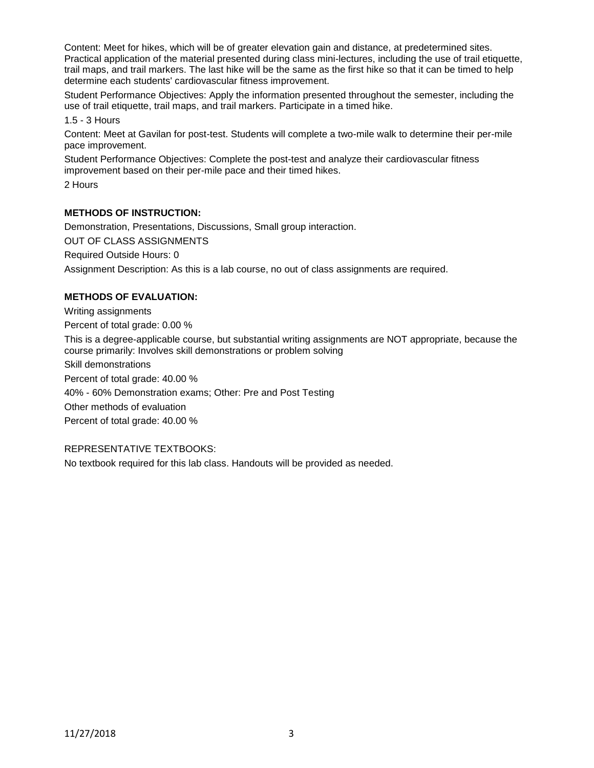Content: Meet for hikes, which will be of greater elevation gain and distance, at predetermined sites. Practical application of the material presented during class mini-lectures, including the use of trail etiquette, trail maps, and trail markers. The last hike will be the same as the first hike so that it can be timed to help determine each students' cardiovascular fitness improvement.

Student Performance Objectives: Apply the information presented throughout the semester, including the use of trail etiquette, trail maps, and trail markers. Participate in a timed hike.

1.5 - 3 Hours

Content: Meet at Gavilan for post-test. Students will complete a two-mile walk to determine their per-mile pace improvement.

Student Performance Objectives: Complete the post-test and analyze their cardiovascular fitness improvement based on their per-mile pace and their timed hikes.

2 Hours

# **METHODS OF INSTRUCTION:**

Demonstration, Presentations, Discussions, Small group interaction.

OUT OF CLASS ASSIGNMENTS

Required Outside Hours: 0

Assignment Description: As this is a lab course, no out of class assignments are required.

## **METHODS OF EVALUATION:**

Writing assignments Percent of total grade: 0.00 % This is a degree-applicable course, but substantial writing assignments are NOT appropriate, because the course primarily: Involves skill demonstrations or problem solving Skill demonstrations Percent of total grade: 40.00 % 40% - 60% Demonstration exams; Other: Pre and Post Testing Other methods of evaluation Percent of total grade: 40.00 %

# REPRESENTATIVE TEXTBOOKS:

No textbook required for this lab class. Handouts will be provided as needed.